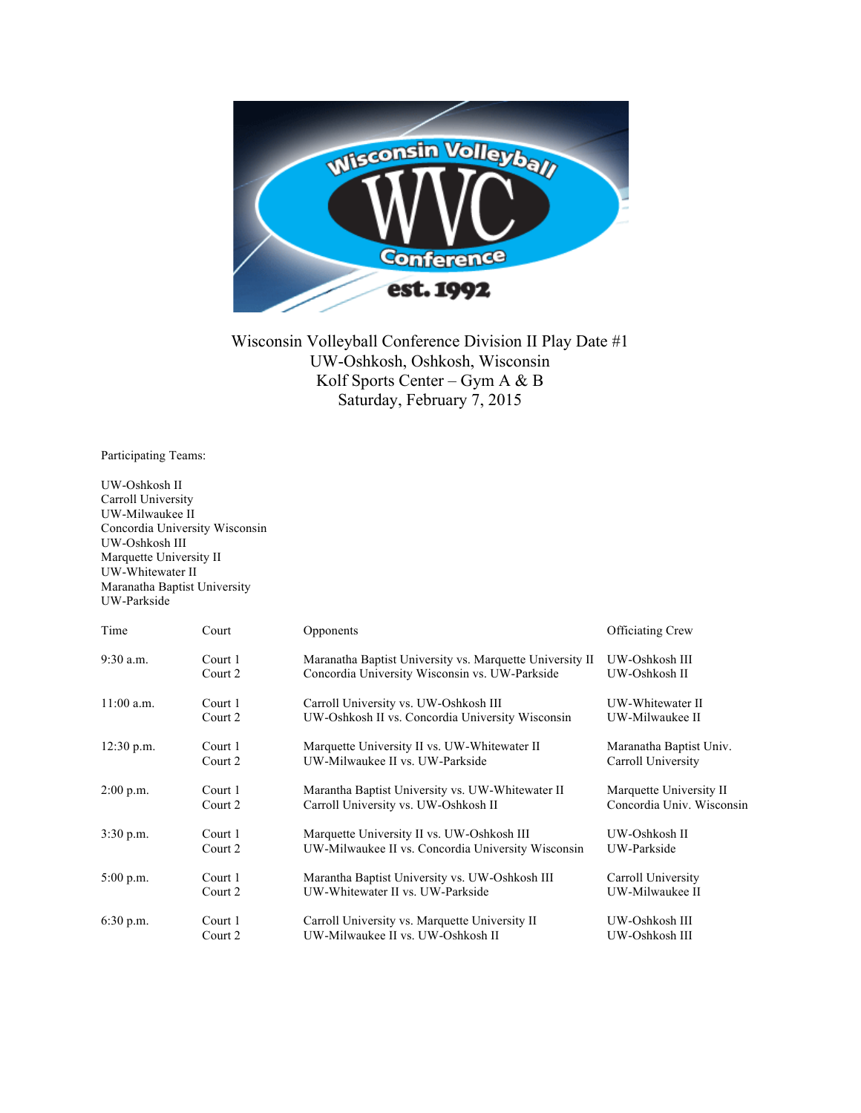

Wisconsin Volleyball Conference Division II Play Date #1 UW-Oshkosh, Oshkosh, Wisconsin Kolf Sports Center – Gym A & B Saturday, February 7, 2015

Participating Teams:

UW-Oshkosh II Carroll University UW-Milwaukee II Concordia University Wisconsin UW-Oshkosh III Marquette University II UW-Whitewater II Maranatha Baptist University UW-Parkside

| Time         | Court   | Opponents                                                | Officiating Crew          |
|--------------|---------|----------------------------------------------------------|---------------------------|
| $9:30$ a.m.  | Court 1 | Maranatha Baptist University vs. Marquette University II | UW-Oshkosh III            |
|              | Court 2 | Concordia University Wisconsin vs. UW-Parkside           | UW-Oshkosh II             |
| $11:00$ a.m. | Court 1 | Carroll University vs. UW-Oshkosh III                    | UW-Whitewater II          |
|              | Court 2 | UW-Oshkosh II vs. Concordia University Wisconsin         | UW-Milwaukee II           |
| $12:30$ p.m. | Court 1 | Marquette University II vs. UW-Whitewater II             | Maranatha Baptist Univ.   |
|              | Court 2 | UW-Milwaukee II vs. UW-Parkside                          | Carroll University        |
| $2:00$ p.m.  | Court 1 | Marantha Baptist University vs. UW-Whitewater II         | Marquette University II   |
|              | Court 2 | Carroll University vs. UW-Oshkosh II                     | Concordia Univ. Wisconsin |
| $3:30$ p.m.  | Court 1 | Marquette University II vs. UW-Oshkosh III               | UW-Oshkosh II             |
|              | Court 2 | UW-Milwaukee II vs. Concordia University Wisconsin       | UW-Parkside               |
| $5:00$ p.m.  | Court 1 | Marantha Baptist University vs. UW-Oshkosh III           | Carroll University        |
|              | Court 2 | UW-Whitewater II vs. UW-Parkside                         | UW-Milwaukee II           |
| $6:30$ p.m.  | Court 1 | Carroll University vs. Marquette University II           | UW-Oshkosh III            |
|              | Court 2 | UW-Milwaukee II vs. UW-Oshkosh II                        | UW-Oshkosh III            |